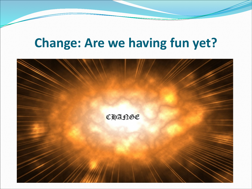## **Change: Are we having fun yet?**

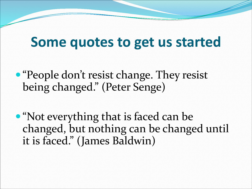## **Some quotes to get us started**

- "People don't resist change. They resist being changed." (Peter Senge)
- "Not everything that is faced can be changed, but nothing can be changed until it is faced." (James Baldwin)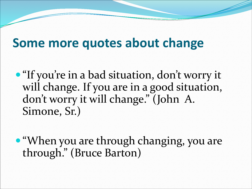#### **Some more quotes about change**

- "If you're in a bad situation, don't worry it will change. If you are in a good situation, don't worry it will change." (John A. Simone, Sr.)
- "When you are through changing, you are through." (Bruce Barton)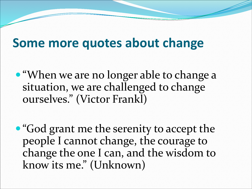#### **Some more quotes about change**

- "When we are no longer able to change a situation, we are challenged to change ourselves." (Victor Frankl)
- "God grant me the serenity to accept the people I cannot change, the courage to change the one I can, and the wisdom to know its me." (Unknown)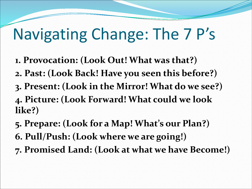# Navigating Change: The 7 P's

- **1. Provocation: (Look Out! What was that?)**
- **2. Past: (Look Back! Have you seen this before?)**
- **3. Present: (Look in the Mirror! What do we see?)**

**4. Picture: (Look Forward! What could we look like?)**

- **5. Prepare: (Look for a Map! What's our Plan?)**
- **6. Pull/Push: (Look where we are going!)**
- **7. Promised Land: (Look at what we have Become!)**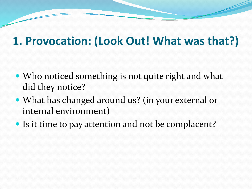#### **1. Provocation: (Look Out! What was that?)**

- Who noticed something is not quite right and what did they notice?
- What has changed around us? (in your external or internal environment)
- Is it time to pay attention and not be complacent?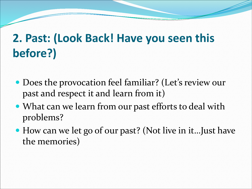## **2. Past: (Look Back! Have you seen this before?)**

- Does the provocation feel familiar? (Let's review our past and respect it and learn from it)
- What can we learn from our past efforts to deal with problems?
- How can we let go of our past? (Not live in it…Just have the memories)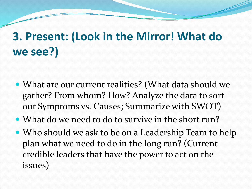## **3. Present: (Look in the Mirror! What do we see?)**

- What are our current realities? (What data should we gather? From whom? How? Analyze the data to sort out Symptoms vs. Causes; Summarize with SWOT)
- What do we need to do to survive in the short run?
- Who should we ask to be on a Leadership Team to help plan what we need to do in the long run? (Current credible leaders that have the power to act on the issues)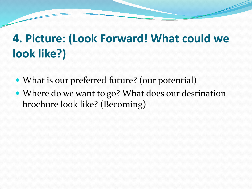#### **4. Picture: (Look Forward! What could we look like?)**

- What is our preferred future? (our potential)
- Where do we want to go? What does our destination brochure look like? (Becoming)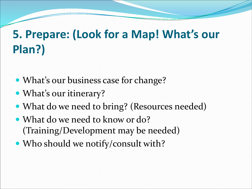## **5. Prepare: (Look for a Map! What's our Plan?)**

- What's our business case for change?
- What's our itinerary?
- What do we need to bring? (Resources needed)
- What do we need to know or do? (Training/Development may be needed)
- Who should we notify/consult with?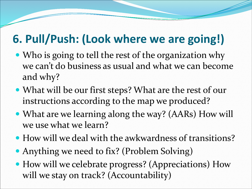#### **6. Pull/Push: (Look where we are going!)**

- Who is going to tell the rest of the organization why we can't do business as usual and what we can become and why?
- What will be our first steps? What are the rest of our instructions according to the map we produced?
- What are we learning along the way? (AARs) How will we use what we learn?
- How will we deal with the awkwardness of transitions?
- Anything we need to fix? (Problem Solving)
- How will we celebrate progress? (Appreciations) How will we stay on track? (Accountability)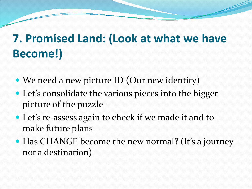#### **7. Promised Land: (Look at what we have Become!)**

- We need a new picture ID (Our new identity)
- Let's consolidate the various pieces into the bigger picture of the puzzle
- Let's re-assess again to check if we made it and to make future plans
- Has CHANGE become the new normal? (It's a journey not a destination)